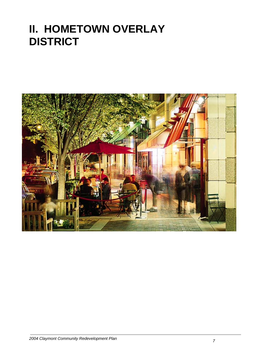# **II. HOMETOWN OVERLAY DISTRICT**

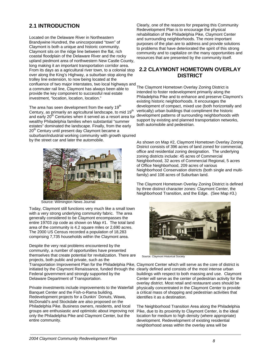## **2.1 INTRODUCTION**

Located on the Delaware River in Northeastern Brandywine Hundred, the unincorporated "town" of Claymont is both a unique and historic community. Claymont sits on the ridge line between the flat, rich coastal floodplain of the Delaware River and the rocky upland piedmont area of northwestern New Castle County, long making it an important transportation corridor area. From its days as a agricultural river town, to a colonial stop over along the King's Highway, a suburban stop along the trolley line extension, to now being located at the confluence of two major interstates, two local highways and a commuter rail line, Claymont has always been able to provide the key component to successful real estate investment, "location, location, location."

The area has seen development from the early  $19<sup>th</sup>$ Century, as primarily an agricultural landscape, to mid 19<sup>th</sup> and early 20<sup>th</sup> Centuries when it served as a resort area for wealthy Philadelphia families when substantial "summer estates" dominated the landscape. Finally, from the early 20<sup>th</sup> Century until present day Claymont became a suburban/industrial working community with growth spurred by the street car and later the automobile.



Source: Wilmington News Journal

Today, Claymont still functions very much like a small town with a very strong underlying community fabric. The area generally considered to be Claymont encompasses the entire 19703 zip code as shown on Map #1. The total land area of the community is 4.2 square miles or 2,690 acres. The 2000 US Census recorded a population of 18,283 comprising 7,735 households within the Claymont area.

Despite the very real problems encountered by the community, a number of opportunities have presented themselves that create potential for revitalization. There are projects, both public and private, such as the Transportation Improvement Plan for the Philadelphia Pike, Claymont Center which will serve as the core of district is initiated by the Claymont Renaissance, funded through the clearly defined and consists of the most intense urban Federal government and strongly supported by the Delaware Department of Transportation.

Private investments include improvements to the Waterfall Banquet Center and the Fish-o-Rama building. Redevelopment projects for a Dunkin` Donuts, Wawa, McDonald's and Stockdale are also proposed on the Philadelphia Pike. Business owners, residents, and local groups are enthusiastic and optimistic about improving not only the Philadelphia Pike and Claymont Center, but the entire community.

Clearly, one of the reasons for preparing this Community Redevelopment Plan is to encourage the physical rehabilitation of the Philadelphia Pike, Claymont Center and surrounding neighborhoods. The more important purposes of the plan are to address and provide solutions to problems that have deteriorated the spirit of this strong community and to capitalize on the many opportunities and resources that are presented by the community itself.

## **2.2 CLAYMONT HOMETOWN OVERLAY DISTRICT**

The Claymont Hometown Overlay Zoning District is intended to foster redevelopment primarily along the Philadelphia Pike and to enhance and preserve Claymont's existing historic neighborhoods. It encourages the development of compact, mixed use (both horizontally and vertically) urban buildings that compliment the historic development patterns of surrounding neighborhoods with support by existing and planned transportation networks, both automobile and pedestrian.

As shown on Map #2, Claymont Hometown Overlay Zoning District consists of 396 acres of land zoned for commercial, office and residential zoning designation. The underlying zoning districts include: 45 acres of Commercial Neighborhood, 32 acres of Commercial Regional, 5 acres of Office Neighborhood, 209 acres of various Neighborhood Conservation districts (both single and multifamily) and 108 acres of Suburban land.

The Claymont Hometown Overlay Zoning District is defined by three distinct character zones: Claymont Center, the Neighborhood Transition, and the Edge. (See Map #3.)



Source: Claymont Historical Society

buildings with respect to both massing and use. Claymont Center will serve as the center of pedestrian activity for the overlay district. Most retail and restaurant uses should be physically concentrated in the Claymont Center to provide a critical mass of shopping and pedestrian activities that identifies it as a destination.

The Neighborhood Transition Area along the Philadelphia Pike, due to its proximity to Claymont Center, is the ideal location for medium to high density (where appropriate) development. Redevelopment of existing residential neighborhood areas within the overlay area will be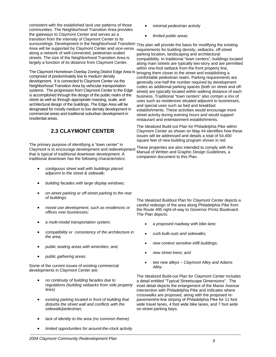consistent with the established land use patterns of those communities. The Neighborhood Transition Area provides the gateways to Claymont Center and serves as a transition from the intensity of Claymont Center to its surroundings. Development in the Neighborhood Transition This plan will provide the basis for modifying the existing Area will be supported by Claymont Center and vice-versa along a network of well-connected, pedestrian-scaled streets. The size of the Neighborhood Transition Area is largely a function of its distance from Claymont Center.

The Claymont Hometown Overlay Zoning District Edge Area is comprised of predominately low to medium density development. It is connected to Claymont Center via the Neighborhood Transition Area by vehicular transportation systems. The progression from Claymont Center to the Edge is accomplished through the design of the public realm of the street as well as through appropriate massing, scale, and architectural design of the buildings. The Edge Area will be designated for mostly medium to low density development in commercial areas and traditional suburban development in residential areas.

# **2.3 CLAYMONT CENTER**

The primary purpose of identifying a "town center" in The primary parpeter of factoritying a flow from order in These properties are also intended to comply with the<br>Claymont is to encourage development and redevelopment Marguel of Written and Capabia Decision Quidelines as that is typical of traditional downtown development. A traditional downtown has the following characteristics:

- *contiguous street wall with buildings placed adjacent to the street & sidewalk;*
- *building facades with large display windows;*
- *on-street parking or off-street parking to the rear of buildings;*
- *mixed use development, such as residences or offices over businesses;*
- *a multi-modal transportation system;*
- *compatibility or consistency of the architecture in the area;*
- *public seating areas with amenities; and,*
- *public gathering areas.*

Some of the current issues of existing commercial developments in Claymont Center are:

- *no continuity of building facades due to regulations (building setbacks from side property lines)*
- *existing parking located in front of building that disturbs the street wall and conflicts with the sidewalk/pedestrian;*
- *lack of identity to the area (no common theme)*
- *limited opportunities for around-the-clock activity*
- *minimal pedestrian activity*
- *limited public areas*

requirements for building density, setbacks, off-street parking location, landscaping and architectural compatibility. In traditional "town centers", buildings located along main streets are typically two-story and are permitted within one-foot setback from the front property line. bringing them closer to the street and establishing a comfortable pedestrian realm. Parking requirements are generally one-half the number required by development codes as additional parking spaces (both on street and offstreet) are typically located within walking distance of each business. Traditional "town centers" also contain a mix of uses such as residences situated adjacent to businesses, and special uses such as bed and breakfast establishments. These activities would encourage more street activity during evening hours and would support restaurant and entertainment establishments.

The Idealized Build-out Plan for Philadelphia Pike within Claymont Center as shown on Map #4 identifies how these issues will be addressed and details a total of 54,400 square feet of new building program shown in red

Manual of Written and Graphic Design Guidelines, a companion document to this Plan.

The Idealized Buildout Plan for Claymont Center depicts a careful redesign of the area along Philadelphia Pike from the Route 495 right-of-way to Governor Printz Boulevard. The Plan depicts:

- *a proposed roadway with bike lane;*
- *curb bulb-outs and sidewalks;*
- *new context sensitive infill buildings;*
- *new street trees; and*
- *two new alleys Claymont Alley and Adams Alley.*

The Idealized Build-out Plan for Claymont Center includes a detail entitled "Typical Streetscape Dimensions". The inset detail depicts the enlargement of the Manor Avenue intersection with Philadelphia Pike and indicates where crosswalks are proposed, along with the proposed repavement/re-line striping of Philadelphia Pike for 11 foot wide travel lanes, 4 foot wide bike lanes, and 7 foot wide on-street parking bays.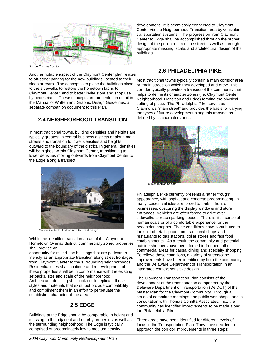

Source: Thomas Comitta

Another notable aspect of the Claymont Center plan relates to off-street parking for the new buildings, located to their sides or rears. The concept is to place the buildings close to the sidewalks to restore the hometown fabric to Claymont Center, and to better invite store and shop use by pedestrians. These concepts are presented in detail in the Manual of Written and Graphic Design Guidelines, a separate companion document to this Plan.

## **2.4 NEIGHBORHOOD TRANSITION**

In most traditional towns, building densities and heights are typically greatest in central business districts or along main streets and transition to lower densities and heights outward to the boundary of the district. In general, densities will be highest within Claymont Center, transitioning to lower densities moving outwards from Claymont Center to the Edge along a transect.



Source: Center for Historic Architecture & Design

Within the identified transition areas of the Claymont Hometown Overlay district, commercially zoned properties shall provide an

opportunity for mixed-use buildings that are pedestrianfriendly as an appropriate transition along street frontages from Claymont Center to the surrounding neighborhoods. Residential uses shall continue and redevelopment of these properties shall be in conformance with the existing setbacks, size and scale of the neighborhood. Architectural detailing shall look not to replicate those styles and materials that exist, but provide compatibility and compliment them in an effort to perpetuate the established character of the area.

### **2.5 EDGE**

Buildings at the Edge should be comparable in height and massing to the adjacent and nearby properties as well as the surrounding neighborhood. The Edge is typically comprised of predominately low to medium density

development. It is seamlessly connected to Claymont Center via the Neighborhood Transition area by vehicular transportation systems. The progression from Claymont Center to Edge shall be accomplished through the proper design of the public realm of the street as well as through appropriate massing, scale, and architectural design of the buildings.

## **2.6 PHILADELPHIA PIKE**

Most traditional towns typically contain a main corridor area or "main street" on which they developed and grew. This corridor typically provides a transect of the community that helps to define its character zones (i.e. Claymont Center, Neighborhood Transition and Edge) forming the physical setting of place. The Philadelphia Pike serves as Claymont's "main street" and provides the basis for varying the types of future development along this transect as defined by its character zones.



Philadelphia Pike currently presents a rather "rough" appearance, with asphalt and concrete predominating. In many, cases, vehicles are forced to park in front of businesses, obscuring the display windows and store entrances. Vehicles are often forced to drive over sidewalks to reach parking spaces. There is little sense of human scale or of a comfortable experience for the pedestrian shopper. These conditions have contributed to the shift of retail space from traditional shops and restaurants to gas stations, dollar stores and fast food establishments. As a result, the community and potential outside shoppers have been forced to frequent other commercial areas for causal dining and specialty shopping. To relieve these conditions, a variety of streetscape improvements have been identified by both the community and the Delaware Department of Transportation in an integrated context sensitive design.

The Claymont Transportation Plan consists of the development of the transportation component by the Delaware Department of Transportation (DelDOT) of the Master Plan for the [Claymont Community.](http://www.deldot.org/static/projects/claymont/study_area.html) Through a series of committee meetings and public workshops, and in consultation with Thomas Comitta Associates, Inc., the community has identified improvements to be made along the Philadelphia Pike.

Three areas have been identified for different levels of focus in the Transportation Plan. They have decided to approach the corridor improvements in three steps: